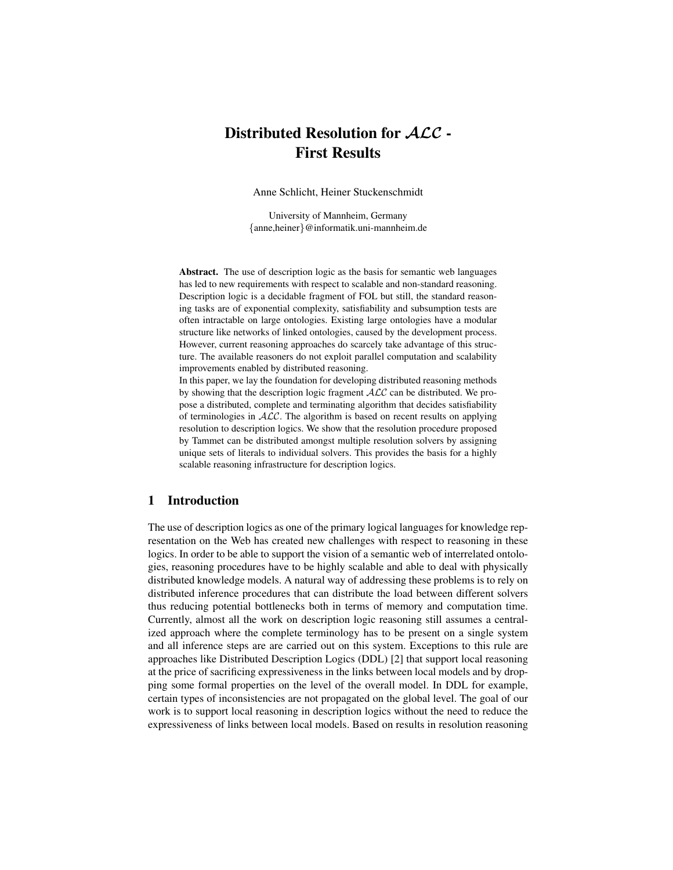# Distributed Resolution for ALC - First Results

Anne Schlicht, Heiner Stuckenschmidt

University of Mannheim, Germany {anne,heiner}@informatik.uni-mannheim.de

Abstract. The use of description logic as the basis for semantic web languages has led to new requirements with respect to scalable and non-standard reasoning. Description logic is a decidable fragment of FOL but still, the standard reasoning tasks are of exponential complexity, satisfiability and subsumption tests are often intractable on large ontologies. Existing large ontologies have a modular structure like networks of linked ontologies, caused by the development process. However, current reasoning approaches do scarcely take advantage of this structure. The available reasoners do not exploit parallel computation and scalability improvements enabled by distributed reasoning.

In this paper, we lay the foundation for developing distributed reasoning methods by showing that the description logic fragment  $\mathcal{ALC}$  can be distributed. We propose a distributed, complete and terminating algorithm that decides satisfiability of terminologies in  $ALC$ . The algorithm is based on recent results on applying resolution to description logics. We show that the resolution procedure proposed by Tammet can be distributed amongst multiple resolution solvers by assigning unique sets of literals to individual solvers. This provides the basis for a highly scalable reasoning infrastructure for description logics.

# 1 Introduction

The use of description logics as one of the primary logical languages for knowledge representation on the Web has created new challenges with respect to reasoning in these logics. In order to be able to support the vision of a semantic web of interrelated ontologies, reasoning procedures have to be highly scalable and able to deal with physically distributed knowledge models. A natural way of addressing these problems is to rely on distributed inference procedures that can distribute the load between different solvers thus reducing potential bottlenecks both in terms of memory and computation time. Currently, almost all the work on description logic reasoning still assumes a centralized approach where the complete terminology has to be present on a single system and all inference steps are are carried out on this system. Exceptions to this rule are approaches like Distributed Description Logics (DDL) [2] that support local reasoning at the price of sacrificing expressiveness in the links between local models and by dropping some formal properties on the level of the overall model. In DDL for example, certain types of inconsistencies are not propagated on the global level. The goal of our work is to support local reasoning in description logics without the need to reduce the expressiveness of links between local models. Based on results in resolution reasoning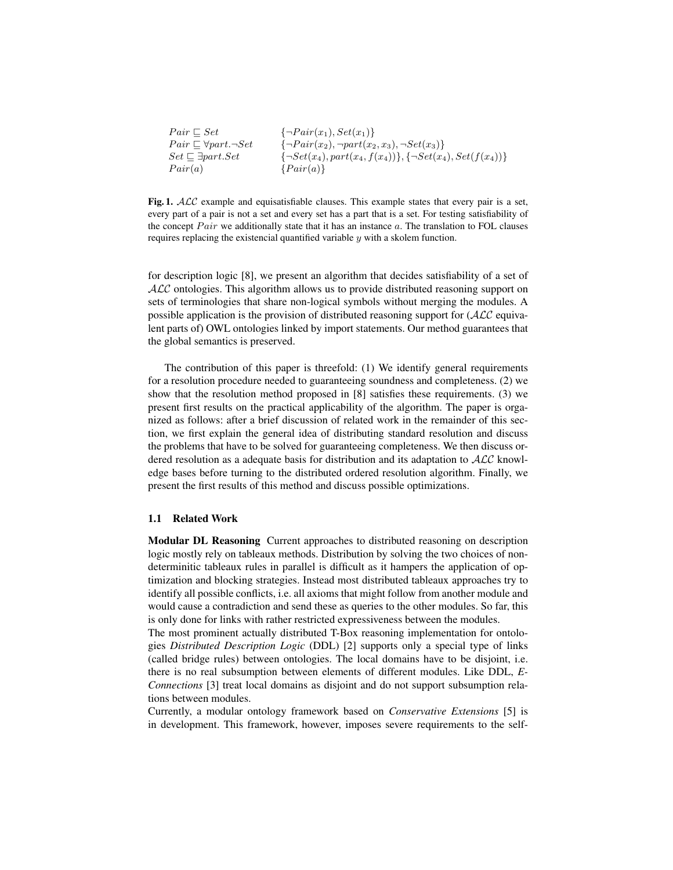| $Pair \sqsubset Set$                    | $\{\neg Pair(x_1), Set(x_1)\}\$                                         |
|-----------------------------------------|-------------------------------------------------------------------------|
| $Pair \sqsubset \forall part. \neg Set$ | $\{\neg Pair(x_2), \neg part(x_2, x_3), \neg Set(x_3)\}\$               |
| $Set \sqsubset \exists part. Set$       | $\{\neg Set(x_4), part(x_4, f(x_4))\}, \{\neg Set(x_4), Set(f(x_4))\}\$ |
| Pair(a)                                 | $\{Pair(a)\}\$                                                          |

Fig. 1. ALC example and equisatisfiable clauses. This example states that every pair is a set, every part of a pair is not a set and every set has a part that is a set. For testing satisfiability of the concept  $Pair$  we additionally state that it has an instance  $a$ . The translation to FOL clauses requires replacing the existencial quantified variable y with a skolem function.

for description logic [8], we present an algorithm that decides satisfiability of a set of ALC ontologies. This algorithm allows us to provide distributed reasoning support on sets of terminologies that share non-logical symbols without merging the modules. A possible application is the provision of distributed reasoning support for  $(ALC)$  equivalent parts of) OWL ontologies linked by import statements. Our method guarantees that the global semantics is preserved.

The contribution of this paper is threefold: (1) We identify general requirements for a resolution procedure needed to guaranteeing soundness and completeness. (2) we show that the resolution method proposed in [8] satisfies these requirements. (3) we present first results on the practical applicability of the algorithm. The paper is organized as follows: after a brief discussion of related work in the remainder of this section, we first explain the general idea of distributing standard resolution and discuss the problems that have to be solved for guaranteeing completeness. We then discuss ordered resolution as a adequate basis for distribution and its adaptation to  $\mathcal{ALC}$  knowledge bases before turning to the distributed ordered resolution algorithm. Finally, we present the first results of this method and discuss possible optimizations.

#### 1.1 Related Work

Modular DL Reasoning Current approaches to distributed reasoning on description logic mostly rely on tableaux methods. Distribution by solving the two choices of nondeterminitic tableaux rules in parallel is difficult as it hampers the application of optimization and blocking strategies. Instead most distributed tableaux approaches try to identify all possible conflicts, i.e. all axioms that might follow from another module and would cause a contradiction and send these as queries to the other modules. So far, this is only done for links with rather restricted expressiveness between the modules.

The most prominent actually distributed T-Box reasoning implementation for ontologies *Distributed Description Logic* (DDL) [2] supports only a special type of links (called bridge rules) between ontologies. The local domains have to be disjoint, i.e. there is no real subsumption between elements of different modules. Like DDL, *E-Connections* [3] treat local domains as disjoint and do not support subsumption relations between modules.

Currently, a modular ontology framework based on *Conservative Extensions* [5] is in development. This framework, however, imposes severe requirements to the self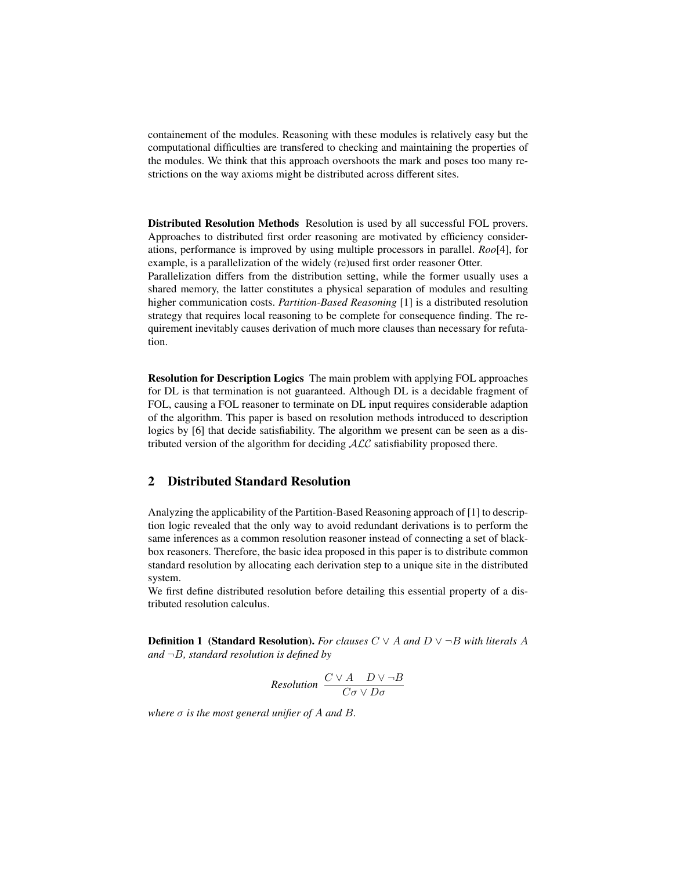containement of the modules. Reasoning with these modules is relatively easy but the computational difficulties are transfered to checking and maintaining the properties of the modules. We think that this approach overshoots the mark and poses too many restrictions on the way axioms might be distributed across different sites.

Distributed Resolution Methods Resolution is used by all successful FOL provers. Approaches to distributed first order reasoning are motivated by efficiency considerations, performance is improved by using multiple processors in parallel. *Roo*[4], for example, is a parallelization of the widely (re)used first order reasoner Otter.

Parallelization differs from the distribution setting, while the former usually uses a shared memory, the latter constitutes a physical separation of modules and resulting higher communication costs. *Partition-Based Reasoning* [1] is a distributed resolution strategy that requires local reasoning to be complete for consequence finding. The requirement inevitably causes derivation of much more clauses than necessary for refutation.

Resolution for Description Logics The main problem with applying FOL approaches for DL is that termination is not guaranteed. Although DL is a decidable fragment of FOL, causing a FOL reasoner to terminate on DL input requires considerable adaption of the algorithm. This paper is based on resolution methods introduced to description logics by [6] that decide satisfiability. The algorithm we present can be seen as a distributed version of the algorithm for deciding  $ALC$  satisfiability proposed there.

# 2 Distributed Standard Resolution

Analyzing the applicability of the Partition-Based Reasoning approach of [1] to description logic revealed that the only way to avoid redundant derivations is to perform the same inferences as a common resolution reasoner instead of connecting a set of blackbox reasoners. Therefore, the basic idea proposed in this paper is to distribute common standard resolution by allocating each derivation step to a unique site in the distributed system.

We first define distributed resolution before detailing this essential property of a distributed resolution calculus.

**Definition 1 (Standard Resolution).** *For clauses*  $C \vee A$  *and*  $D \vee \neg B$  *with literals* A *and* ¬B*, standard resolution is defined by*

Resolution 
$$
\frac{C \vee A \quad D \vee \neg B}{C \sigma \vee D \sigma}
$$

*where*  $\sigma$  *is the most general unifier of*  $A$  *and*  $B$ *.*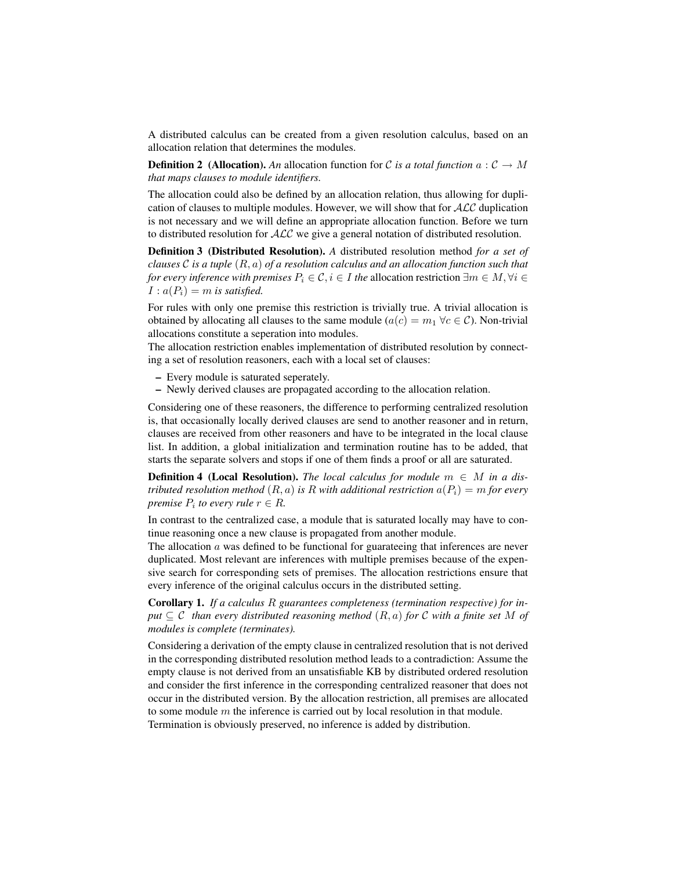A distributed calculus can be created from a given resolution calculus, based on an allocation relation that determines the modules.

**Definition 2** (Allocation). An allocation function for C is a total function  $a: \mathcal{C} \to M$ *that maps clauses to module identifiers.*

The allocation could also be defined by an allocation relation, thus allowing for duplication of clauses to multiple modules. However, we will show that for  $\mathcal{ALC}$  duplication is not necessary and we will define an appropriate allocation function. Before we turn to distributed resolution for  $ALC$  we give a general notation of distributed resolution.

Definition 3 (Distributed Resolution). *A* distributed resolution method *for a set of clauses* C *is a tuple* (R, a) *of a resolution calculus and an allocation function such that for every inference with premises*  $P_i \in \mathcal{C}, i \in I$  *the allocation restriction*  $\exists m \in M, \forall i \in I$  $I: a(P_i) = m$  is satisfied.

For rules with only one premise this restriction is trivially true. A trivial allocation is obtained by allocating all clauses to the same module ( $a(c) = m_1 \,\forall c \in C$ ). Non-trivial allocations constitute a seperation into modules.

The allocation restriction enables implementation of distributed resolution by connecting a set of resolution reasoners, each with a local set of clauses:

- Every module is saturated seperately.
- Newly derived clauses are propagated according to the allocation relation.

Considering one of these reasoners, the difference to performing centralized resolution is, that occasionally locally derived clauses are send to another reasoner and in return, clauses are received from other reasoners and have to be integrated in the local clause list. In addition, a global initialization and termination routine has to be added, that starts the separate solvers and stops if one of them finds a proof or all are saturated.

**Definition 4 (Local Resolution).** *The local calculus for module*  $m \in M$  *in a distributed resolution method*  $(R, a)$  *is*  $R$  *with additional restriction*  $a(P_i) = m$  *for every premise*  $P_i$  to every rule  $r \in R$ .

In contrast to the centralized case, a module that is saturated locally may have to continue reasoning once a new clause is propagated from another module.

The allocation  $a$  was defined to be functional for guarateeing that inferences are never duplicated. Most relevant are inferences with multiple premises because of the expensive search for corresponding sets of premises. The allocation restrictions ensure that every inference of the original calculus occurs in the distributed setting.

Corollary 1. *If a calculus* R *guarantees completeness (termination respective) for input*  $\subseteq$  C *than every distributed reasoning method*  $(R, a)$  *for* C *with a finite set* M *of modules is complete (terminates).*

Considering a derivation of the empty clause in centralized resolution that is not derived in the corresponding distributed resolution method leads to a contradiction: Assume the empty clause is not derived from an unsatisfiable KB by distributed ordered resolution and consider the first inference in the corresponding centralized reasoner that does not occur in the distributed version. By the allocation restriction, all premises are allocated to some module  $m$  the inference is carried out by local resolution in that module. Termination is obviously preserved, no inference is added by distribution.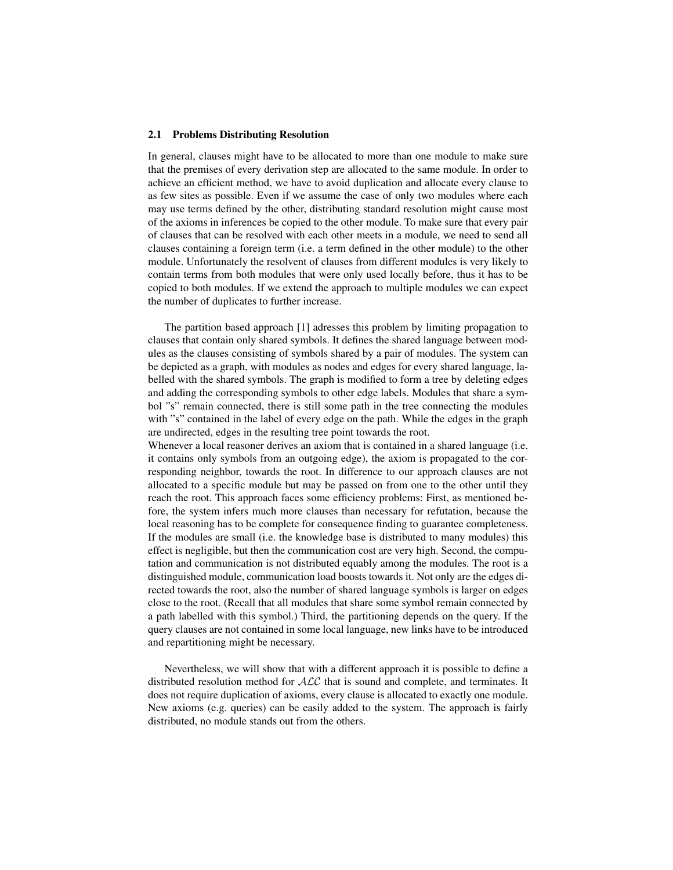#### 2.1 Problems Distributing Resolution

In general, clauses might have to be allocated to more than one module to make sure that the premises of every derivation step are allocated to the same module. In order to achieve an efficient method, we have to avoid duplication and allocate every clause to as few sites as possible. Even if we assume the case of only two modules where each may use terms defined by the other, distributing standard resolution might cause most of the axioms in inferences be copied to the other module. To make sure that every pair of clauses that can be resolved with each other meets in a module, we need to send all clauses containing a foreign term (i.e. a term defined in the other module) to the other module. Unfortunately the resolvent of clauses from different modules is very likely to contain terms from both modules that were only used locally before, thus it has to be copied to both modules. If we extend the approach to multiple modules we can expect the number of duplicates to further increase.

The partition based approach [1] adresses this problem by limiting propagation to clauses that contain only shared symbols. It defines the shared language between modules as the clauses consisting of symbols shared by a pair of modules. The system can be depicted as a graph, with modules as nodes and edges for every shared language, labelled with the shared symbols. The graph is modified to form a tree by deleting edges and adding the corresponding symbols to other edge labels. Modules that share a symbol "s" remain connected, there is still some path in the tree connecting the modules with "s" contained in the label of every edge on the path. While the edges in the graph are undirected, edges in the resulting tree point towards the root.

Whenever a local reasoner derives an axiom that is contained in a shared language (i.e. it contains only symbols from an outgoing edge), the axiom is propagated to the corresponding neighbor, towards the root. In difference to our approach clauses are not allocated to a specific module but may be passed on from one to the other until they reach the root. This approach faces some efficiency problems: First, as mentioned before, the system infers much more clauses than necessary for refutation, because the local reasoning has to be complete for consequence finding to guarantee completeness. If the modules are small (i.e. the knowledge base is distributed to many modules) this effect is negligible, but then the communication cost are very high. Second, the computation and communication is not distributed equably among the modules. The root is a distinguished module, communication load boosts towards it. Not only are the edges directed towards the root, also the number of shared language symbols is larger on edges close to the root. (Recall that all modules that share some symbol remain connected by a path labelled with this symbol.) Third, the partitioning depends on the query. If the query clauses are not contained in some local language, new links have to be introduced and repartitioning might be necessary.

Nevertheless, we will show that with a different approach it is possible to define a distributed resolution method for ALC that is sound and complete, and terminates. It does not require duplication of axioms, every clause is allocated to exactly one module. New axioms (e.g. queries) can be easily added to the system. The approach is fairly distributed, no module stands out from the others.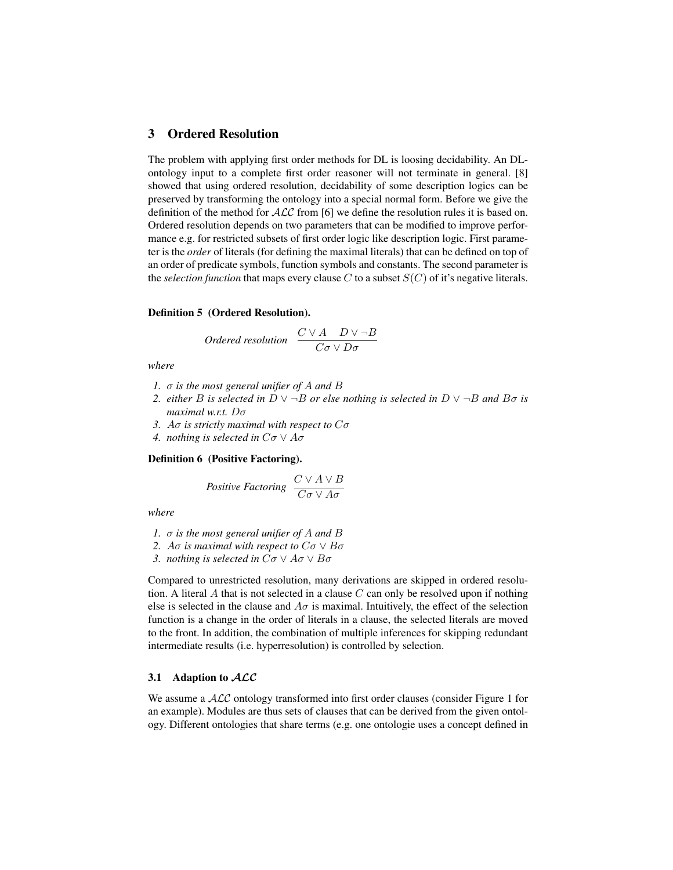# 3 Ordered Resolution

The problem with applying first order methods for DL is loosing decidability. An DLontology input to a complete first order reasoner will not terminate in general. [8] showed that using ordered resolution, decidability of some description logics can be preserved by transforming the ontology into a special normal form. Before we give the definition of the method for  $ALC$  from [6] we define the resolution rules it is based on. Ordered resolution depends on two parameters that can be modified to improve performance e.g. for restricted subsets of first order logic like description logic. First parameter is the *order* of literals (for defining the maximal literals) that can be defined on top of an order of predicate symbols, function symbols and constants. The second parameter is the *selection function* that maps every clause  $C$  to a subset  $S(C)$  of it's negative literals.

## Definition 5 (Ordered Resolution).

*Ordered resolution* 
$$
\frac{C \vee A \quad D \vee \neg B}{C \sigma \vee D \sigma}
$$

*where*

- *1.* σ *is the most general unifier of* A *and* B
- *2. either B is selected in*  $D \vee \neg B$  *or else nothing is selected in*  $D \vee \neg B$  *and*  $B\sigma$  *is maximal w.r.t.* Dσ
- *3.* Aσ *is strictly maximal with respect to* Cσ
- *4. nothing is selected in*  $C\sigma \vee A\sigma$

## Definition 6 (Positive Factoring).

Positive Factoring 
$$
\frac{C \vee A \vee B}{C\sigma \vee A\sigma}
$$

*where*

- *1.* σ *is the most general unifier of* A *and* B
- *2. Ao is maximal with respect to*  $C\sigma \vee B\sigma$
- *3. nothing is selected in* Cσ ∨ Aσ ∨ Bσ

Compared to unrestricted resolution, many derivations are skipped in ordered resolution. A literal A that is not selected in a clause  $C$  can only be resolved upon if nothing else is selected in the clause and  $A\sigma$  is maximal. Intuitively, the effect of the selection function is a change in the order of literals in a clause, the selected literals are moved to the front. In addition, the combination of multiple inferences for skipping redundant intermediate results (i.e. hyperresolution) is controlled by selection.

## 3.1 Adaption to  $\mathcal{ALC}$

We assume a  $ALC$  ontology transformed into first order clauses (consider Figure 1 for an example). Modules are thus sets of clauses that can be derived from the given ontology. Different ontologies that share terms (e.g. one ontologie uses a concept defined in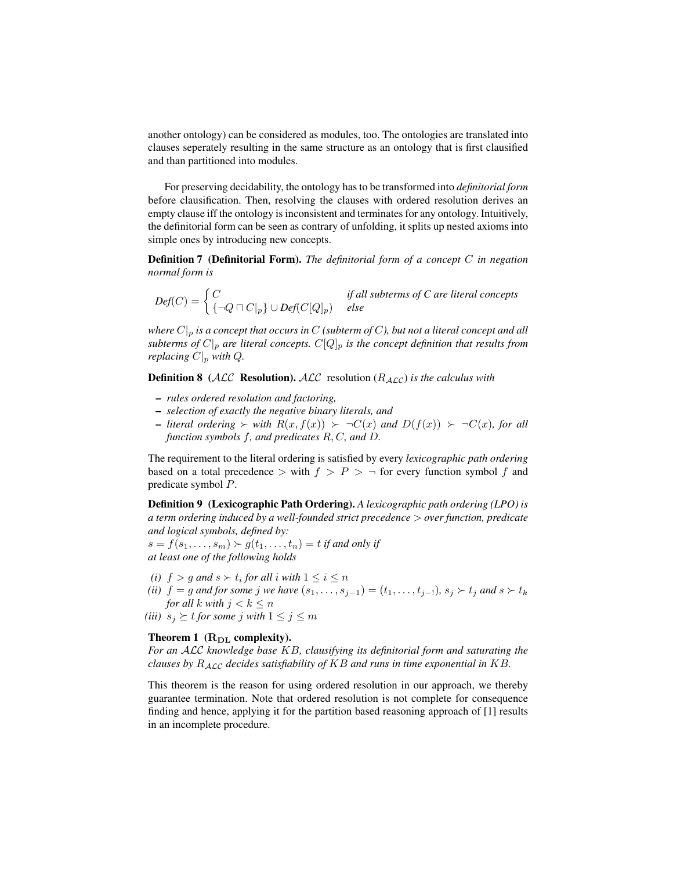another ontology) can be considered as modules, too. The ontologies are translated into clauses seperately resulting in the same structure as an ontology that is first clausified and than partitioned into modules.

For preserving decidability, the ontology has to be transformed into *definitorial form* before clausification. Then, resolving the clauses with ordered resolution derives an empty clause iff the ontology is inconsistent and terminates for any ontology. Intuitively, the definitorial form can be seen as contrary of unfolding, it splits up nested axioms into simple ones by introducing new concepts.

Definition 7 (Definitorial Form). *The definitorial form of a concept* C *in negation normal form is*

 $Def(C) = \begin{cases} C & \text{if all subterms of } C \text{ are literal concepts} \end{cases}$ {¬Q u C|p} ∪ *Def*(C[Q]p) *else*

*where*  $C|_p$  *is a concept that occurs in* C *(subterm of C), but not a literal concept and all subterms of*  $C|_p$  *are literal concepts.*  $C[Q]_p$  *is the concept definition that results from replacing*  $C|_p$  *with*  $Q$ *.* 

**Definition 8** (ALC **Resolution).** ALC resolution ( $R_{\text{ALC}}$ ) *is the calculus with* 

- *rules ordered resolution and factoring,*
- *selection of exactly the negative binary literals, and*
- $\lnot$  *literal ordering*  $\succ$  *with*  $R(x, f(x)) \succ \neg C(x)$  *and*  $D(f(x)) \succ \neg C(x)$ *, for all function symbols* f*, and predicates* R, C*, and* D*.*

The requirement to the literal ordering is satisfied by every *lexicographic path ordering* based on a total precedence  $>$  with  $f > P > \neg$  for every function symbol f and predicate symbol P.

Definition 9 (Lexicographic Path Ordering). *A lexicographic path ordering (LPO) is a term ordering induced by a well-founded strict precedence* > *over function, predicate and logical symbols, defined by:*

 $s = f(s_1, \ldots, s_m) \succ g(t_1, \ldots, t_n) = t$  *if and only if at least one of the following holds*

- (*i*)  $f > g$  and  $s > t_i$  for all *i* with  $1 \leq i \leq n$
- *(ii)*  $f = g$  *and for some*  $j$  *we have*  $(s_1, ..., s_{j-1}) = (t_1, ..., t_{j-1})$ *,*  $s_j \succ t_j$  *and*  $s \succ t_k$ *for all*  $k$  *with*  $j < k \leq n$
- *(iii)*  $s_j \geq t$  *for some j with*  $1 \leq j \leq m$

## Theorem 1  $(R<sub>DI</sub>$  complexity).

*For an* ALC *knowledge base* KB*, clausifying its definitorial form and saturating the clauses by* RALC *decides satisfiability of* KB *and runs in time exponential in* KB*.*

This theorem is the reason for using ordered resolution in our approach, we thereby guarantee termination. Note that ordered resolution is not complete for consequence finding and hence, applying it for the partition based reasoning approach of [1] results in an incomplete procedure.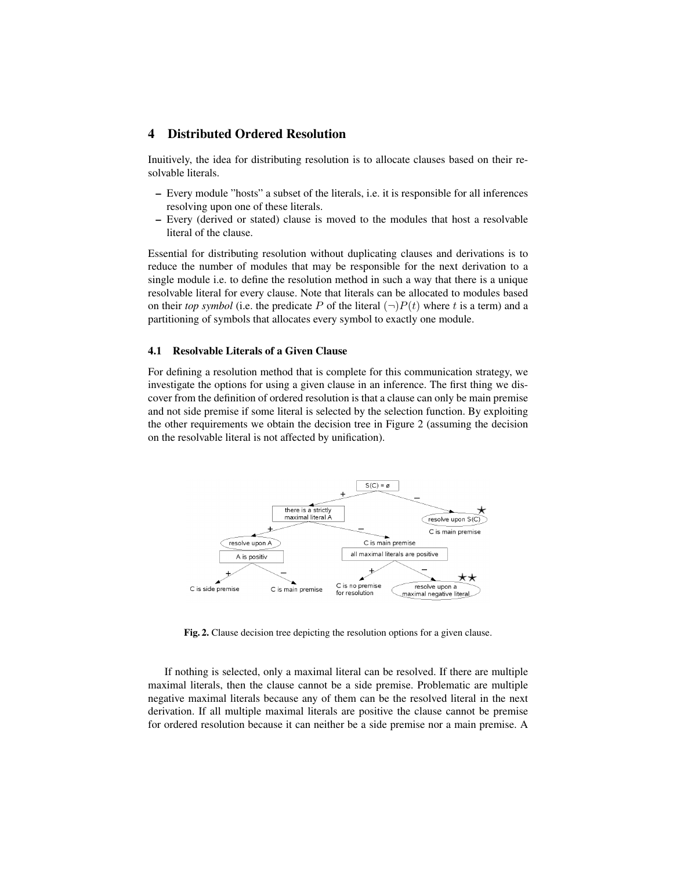# 4 Distributed Ordered Resolution

Inuitively, the idea for distributing resolution is to allocate clauses based on their resolvable literals.

- Every module "hosts" a subset of the literals, i.e. it is responsible for all inferences resolving upon one of these literals.
- Every (derived or stated) clause is moved to the modules that host a resolvable literal of the clause.

Essential for distributing resolution without duplicating clauses and derivations is to reduce the number of modules that may be responsible for the next derivation to a single module i.e. to define the resolution method in such a way that there is a unique resolvable literal for every clause. Note that literals can be allocated to modules based on their *top symbol* (i.e. the predicate P of the literal  $(\neg)P(t)$  where t is a term) and a partitioning of symbols that allocates every symbol to exactly one module.

## 4.1 Resolvable Literals of a Given Clause

For defining a resolution method that is complete for this communication strategy, we investigate the options for using a given clause in an inference. The first thing we discover from the definition of ordered resolution is that a clause can only be main premise and not side premise if some literal is selected by the selection function. By exploiting the other requirements we obtain the decision tree in Figure 2 (assuming the decision on the resolvable literal is not affected by unification).



Fig. 2. Clause decision tree depicting the resolution options for a given clause.

If nothing is selected, only a maximal literal can be resolved. If there are multiple maximal literals, then the clause cannot be a side premise. Problematic are multiple negative maximal literals because any of them can be the resolved literal in the next derivation. If all multiple maximal literals are positive the clause cannot be premise for ordered resolution because it can neither be a side premise nor a main premise. A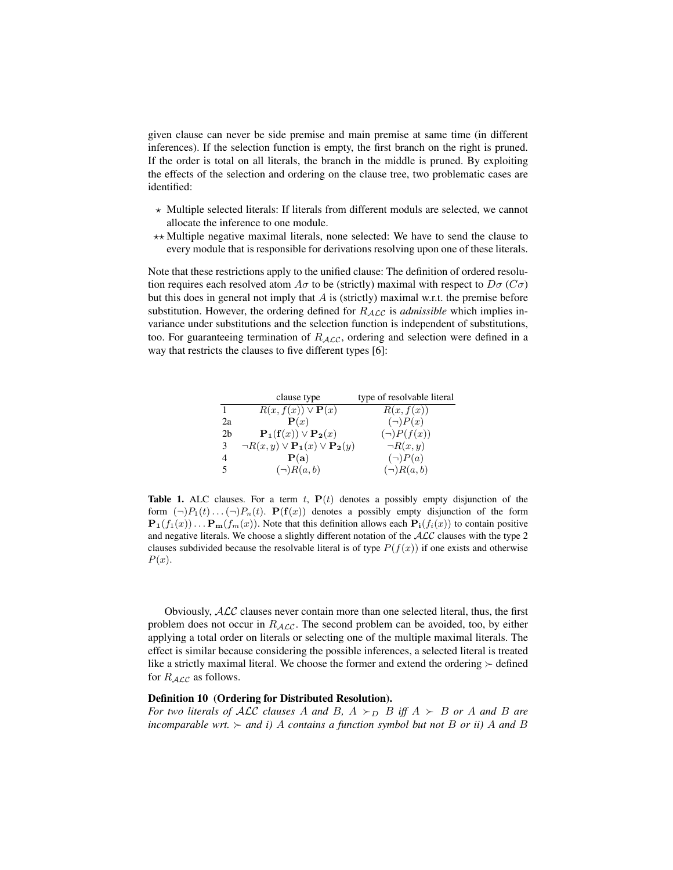given clause can never be side premise and main premise at same time (in different inferences). If the selection function is empty, the first branch on the right is pruned. If the order is total on all literals, the branch in the middle is pruned. By exploiting the effects of the selection and ordering on the clause tree, two problematic cases are identified:

- $\star$  Multiple selected literals: If literals from different moduls are selected, we cannot allocate the inference to one module.
- $\star\star$  Multiple negative maximal literals, none selected: We have to send the clause to every module that is responsible for derivations resolving upon one of these literals.

Note that these restrictions apply to the unified clause: The definition of ordered resolution requires each resolved atom  $A\sigma$  to be (strictly) maximal with respect to  $D\sigma$  ( $C\sigma$ ) but this does in general not imply that  $A$  is (strictly) maximal w.r.t. the premise before substitution. However, the ordering defined for  $R_{\mathcal{ALC}}$  is *admissible* which implies invariance under substitutions and the selection function is independent of substitutions, too. For guaranteeing termination of  $R_{\mathcal{ALC}}$ , ordering and selection were defined in a way that restricts the clauses to five different types [6]:

|                | clause type                                             | type of resolvable literal |
|----------------|---------------------------------------------------------|----------------------------|
|                | $R(x, f(x)) \vee \mathbf{P}(x)$                         | R(x, f(x))                 |
| 2a             | $\mathbf{P}(x)$                                         | $(\neg)P(x)$               |
| 2 <sub>b</sub> | $\mathbf{P_1}(f(x)) \vee \mathbf{P_2}(x)$               | $(\neg)P(f(x))$            |
| 3              | $\neg R(x,y) \vee \mathbf{P_1}(x) \vee \mathbf{P_2}(y)$ | $\neg R(x,y)$              |
| $\overline{4}$ | P(a)                                                    | $(\neg)P(a)$               |
| $\sim$         | $(\neg)R(a,b)$                                          | $(\neg)R(a,b)$             |

Table 1. ALC clauses. For a term t,  $P(t)$  denotes a possibly empty disjunction of the form  $(\neg)P_1(t) \dots (\neg)P_n(t)$ .  $\mathbf{P}(\mathbf{f}(x))$  denotes a possibly empty disjunction of the form  ${\bf P}_1(f_1(x)) \dots {\bf P}_m(f_m(x))$ . Note that this definition allows each  ${\bf P}_i(f_i(x))$  to contain positive and negative literals. We choose a slightly different notation of the  $ALC$  clauses with the type 2 clauses subdivided because the resolvable literal is of type  $P(f(x))$  if one exists and otherwise  $P(x)$ .

Obviously, ALC clauses never contain more than one selected literal, thus, the first problem does not occur in  $R_{\mathcal{ALC}}$ . The second problem can be avoided, too, by either applying a total order on literals or selecting one of the multiple maximal literals. The effect is similar because considering the possible inferences, a selected literal is treated like a strictly maximal literal. We choose the former and extend the ordering  $\succ$  defined for  $R_{\text{ALC}}$  as follows.

#### Definition 10 (Ordering for Distributed Resolution).

*For two literals of ALC clauses* A and B,  $A \succ_D B$  *iff*  $A \succ B$  *or* A and B are *incomparable wrt.*  $\succ$  *and i)* A *contains a function symbol but not* B *or ii)* A *and* B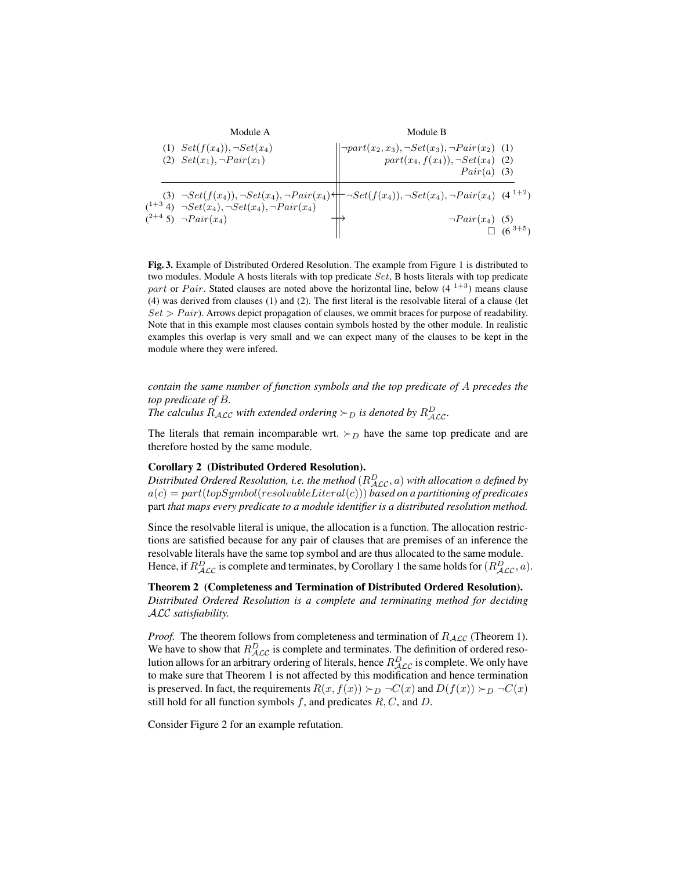Module A

\n(1) 
$$
Set(f(x_4)), \neg Set(x_4)
$$

\n(2)  $Set(x_1), \neg Pair(x_1)$ 

\n(3)  $\neg Set(f(x_4)), \neg Set(x_4), \neg Pair(x_4)$ 

\n(4+3)  $\neg Piet(x_4), \neg Set(x_4), \neg Pair(x_4)$ 

\n(5)  $\Box$ 

\n(6)  $\Box$ 

\n(7+4)  $\Box$ 

\n(8)  $\Box$ 

\n(9)  $\Box$ 

\n(1)  $\Box$ 

\n(1)  $\Box$ 

\n(2)  $\Box$ 

\n(3)  $\Box$ 

\n(4)  $\Box$ 

\n(5)  $\Box$ 

\n(6)  $\Box$ 

\n(7)  $\Box$ 

\n(8)  $\Box$ 

\n(9)  $\Box$ 

\n(1)  $\Box$ 

\n(1)  $\Box$ 

\n(2)  $\Box$ 

\n(3)  $\Box$ 

\n(4)  $\Box$ 

\n(5)  $\Box$ 

\n(6)  $\Box$ 

\n(7)  $\Box$ 

\n(8)  $\Box$ 

\n(9)  $\Box$ 

\n(1)  $\Box$ 

\n(1)  $\Box$ 

\n(2)  $\Box$ 

\n(3)  $\Box$ 

\n(4)  $\Box$ 

\n(5)  $\Box$ 

\n(6)  $\Box$ 

\n(7)  $\Box$ 

\n(8)  $\Box$ 

\n(9)  $\Box$ 

\n(1)  $\Box$ 

\n(1)  $\Box$ 

\n(2)  $\Box$ 

\n(3)  $\Box$ 

\n(4)  $\Box$ 

\n(5)  $\Box$ 

\n(6)  $\Box$ 

\n(6)  $\Box$ 

\n(7)  $\Box$ 

\n(8)  $\Box$ 

\n(9)  $\Box$ 

Fig. 3. Example of Distributed Ordered Resolution. The example from Figure 1 is distributed to two modules. Module A hosts literals with top predicate Set, B hosts literals with top predicate part or Pair. Stated clauses are noted above the horizontal line, below  $(4^{1+3})$  means clause (4) was derived from clauses (1) and (2). The first literal is the resolvable literal of a clause (let  $Set > Pair$ ). Arrows depict propagation of clauses, we ommit braces for purpose of readability. Note that in this example most clauses contain symbols hosted by the other module. In realistic examples this overlap is very small and we can expect many of the clauses to be kept in the module where they were infered.

*contain the same number of function symbols and the top predicate of* A *precedes the top predicate of* B*.*

The calculus  $R_{\mathcal{ALC}}$  with extended ordering  $\succ_D$  is denoted by  $R_{\mathcal{ALC}}^D$ .

The literals that remain incomparable wrt.  $\succ_D$  have the same top predicate and are therefore hosted by the same module.

#### Corollary 2 (Distributed Ordered Resolution).

 $D$ istributed Ordered Resolution, i.e. the method  $(R^{D}_{\mathcal{ALC}},a)$  with allocation  $a$  defined by a(c) = part(topSymbol(resolvableLiteral(c))) *based on a partitioning of predicates* part *that maps every predicate to a module identifier is a distributed resolution method.*

Since the resolvable literal is unique, the allocation is a function. The allocation restrictions are satisfied because for any pair of clauses that are premises of an inference the resolvable literals have the same top symbol and are thus allocated to the same module. Hence, if  $R_{\cal{ALC}}^D$  is complete and terminates, by Corollary 1 the same holds for  $(R_{\cal{ALC}}^D, a)$ .

Theorem 2 (Completeness and Termination of Distributed Ordered Resolution). *Distributed Ordered Resolution is a complete and terminating method for deciding* ALC *satisfiability.*

*Proof.* The theorem follows from completeness and termination of  $R_{\text{ALC}}$  (Theorem 1). We have to show that  $R_{\mathcal{ALC}}^D$  is complete and terminates. The definition of ordered resolution allows for an arbitrary ordering of literals, hence  $R_{\mathcal{ALC}}^D$  is complete. We only have to make sure that Theorem 1 is not affected by this modification and hence termination is preserved. In fact, the requirements  $R(x, f(x)) \succ_D \neg C(x)$  and  $D(f(x)) \succ_D \neg C(x)$ still hold for all function symbols  $f$ , and predicates  $R, C$ , and  $D$ .

Consider Figure 2 for an example refutation.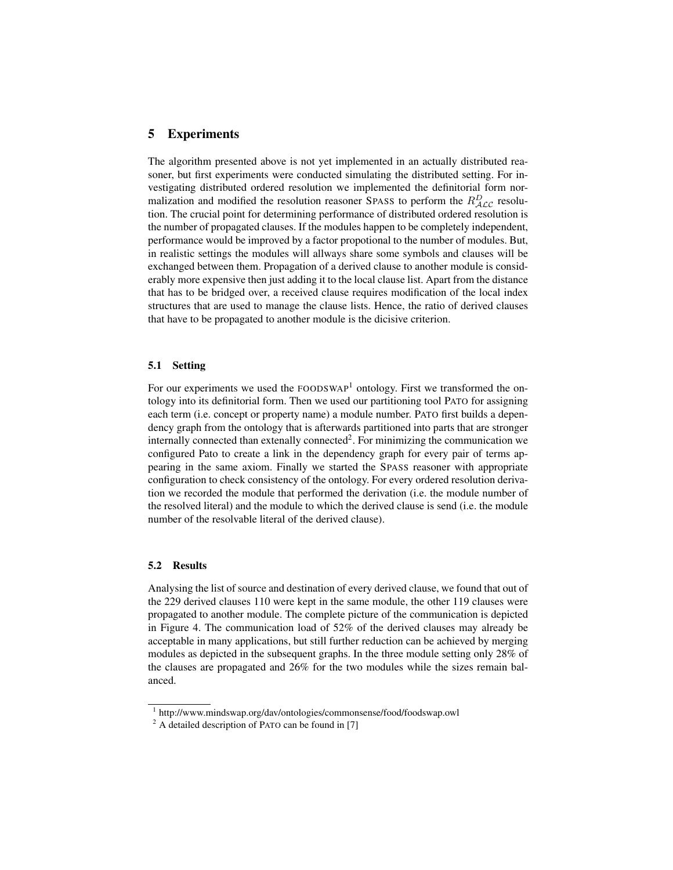# 5 Experiments

The algorithm presented above is not yet implemented in an actually distributed reasoner, but first experiments were conducted simulating the distributed setting. For investigating distributed ordered resolution we implemented the definitorial form normalization and modified the resolution reasoner SPASS to perform the  $R_{\mathcal{ALC}}^D$  resolution. The crucial point for determining performance of distributed ordered resolution is the number of propagated clauses. If the modules happen to be completely independent, performance would be improved by a factor propotional to the number of modules. But, in realistic settings the modules will allways share some symbols and clauses will be exchanged between them. Propagation of a derived clause to another module is considerably more expensive then just adding it to the local clause list. Apart from the distance that has to be bridged over, a received clause requires modification of the local index structures that are used to manage the clause lists. Hence, the ratio of derived clauses that have to be propagated to another module is the dicisive criterion.

#### 5.1 Setting

For our experiments we used the  $FOODSWAP<sup>1</sup>$  ontology. First we transformed the ontology into its definitorial form. Then we used our partitioning tool PATO for assigning each term (i.e. concept or property name) a module number. PATO first builds a dependency graph from the ontology that is afterwards partitioned into parts that are stronger internally connected than extenally connected<sup>2</sup>. For minimizing the communication we configured Pato to create a link in the dependency graph for every pair of terms appearing in the same axiom. Finally we started the SPASS reasoner with appropriate configuration to check consistency of the ontology. For every ordered resolution derivation we recorded the module that performed the derivation (i.e. the module number of the resolved literal) and the module to which the derived clause is send (i.e. the module number of the resolvable literal of the derived clause).

#### 5.2 Results

Analysing the list of source and destination of every derived clause, we found that out of the 229 derived clauses 110 were kept in the same module, the other 119 clauses were propagated to another module. The complete picture of the communication is depicted in Figure 4. The communication load of 52% of the derived clauses may already be acceptable in many applications, but still further reduction can be achieved by merging modules as depicted in the subsequent graphs. In the three module setting only 28% of the clauses are propagated and 26% for the two modules while the sizes remain balanced.

<sup>1</sup> http://www.mindswap.org/dav/ontologies/commonsense/food/foodswap.owl

 $2 \text{ A detailed description of }$  PATO can be found in [7]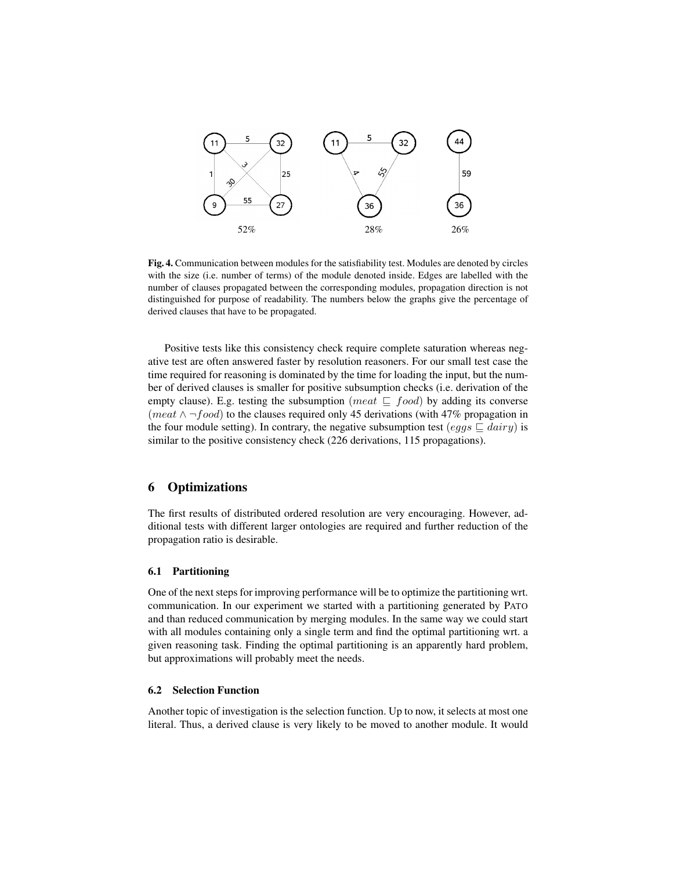

Fig. 4. Communication between modules for the satisfiability test. Modules are denoted by circles with the size (i.e. number of terms) of the module denoted inside. Edges are labelled with the number of clauses propagated between the corresponding modules, propagation direction is not distinguished for purpose of readability. The numbers below the graphs give the percentage of derived clauses that have to be propagated.

Positive tests like this consistency check require complete saturation whereas negative test are often answered faster by resolution reasoners. For our small test case the time required for reasoning is dominated by the time for loading the input, but the number of derived clauses is smaller for positive subsumption checks (i.e. derivation of the empty clause). E.g. testing the subsumption (*meat*  $\subseteq$  *food*) by adding its converse (meat  $\land \neg food$ ) to the clauses required only 45 derivations (with 47% propagation in the four module setting). In contrary, the negative subsumption test (eggs  $\sqsubseteq$  dairy) is similar to the positive consistency check (226 derivations, 115 propagations).

# 6 Optimizations

The first results of distributed ordered resolution are very encouraging. However, additional tests with different larger ontologies are required and further reduction of the propagation ratio is desirable.

## 6.1 Partitioning

One of the next steps for improving performance will be to optimize the partitioning wrt. communication. In our experiment we started with a partitioning generated by PATO and than reduced communication by merging modules. In the same way we could start with all modules containing only a single term and find the optimal partitioning wrt. a given reasoning task. Finding the optimal partitioning is an apparently hard problem, but approximations will probably meet the needs.

#### 6.2 Selection Function

Another topic of investigation is the selection function. Up to now, it selects at most one literal. Thus, a derived clause is very likely to be moved to another module. It would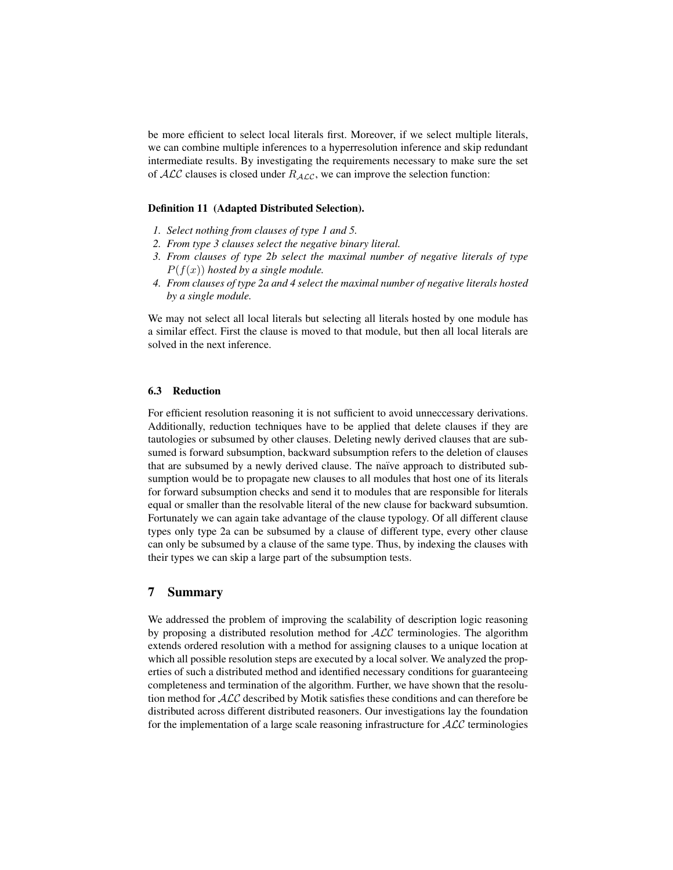be more efficient to select local literals first. Moreover, if we select multiple literals, we can combine multiple inferences to a hyperresolution inference and skip redundant intermediate results. By investigating the requirements necessary to make sure the set of  $ALC$  clauses is closed under  $R_{ALC}$ , we can improve the selection function:

#### Definition 11 (Adapted Distributed Selection).

- *1. Select nothing from clauses of type 1 and 5.*
- *2. From type 3 clauses select the negative binary literal.*
- *3. From clauses of type 2b select the maximal number of negative literals of type*  $P(f(x))$  *hosted by a single module.*
- *4. From clauses of type 2a and 4 select the maximal number of negative literals hosted by a single module.*

We may not select all local literals but selecting all literals hosted by one module has a similar effect. First the clause is moved to that module, but then all local literals are solved in the next inference.

## 6.3 Reduction

For efficient resolution reasoning it is not sufficient to avoid unneccessary derivations. Additionally, reduction techniques have to be applied that delete clauses if they are tautologies or subsumed by other clauses. Deleting newly derived clauses that are subsumed is forward subsumption, backward subsumption refers to the deletion of clauses that are subsumed by a newly derived clause. The naïve approach to distributed subsumption would be to propagate new clauses to all modules that host one of its literals for forward subsumption checks and send it to modules that are responsible for literals equal or smaller than the resolvable literal of the new clause for backward subsumtion. Fortunately we can again take advantage of the clause typology. Of all different clause types only type 2a can be subsumed by a clause of different type, every other clause can only be subsumed by a clause of the same type. Thus, by indexing the clauses with their types we can skip a large part of the subsumption tests.

# 7 Summary

We addressed the problem of improving the scalability of description logic reasoning by proposing a distributed resolution method for  $ALC$  terminologies. The algorithm extends ordered resolution with a method for assigning clauses to a unique location at which all possible resolution steps are executed by a local solver. We analyzed the properties of such a distributed method and identified necessary conditions for guaranteeing completeness and termination of the algorithm. Further, we have shown that the resolution method for ALC described by Motik satisfies these conditions and can therefore be distributed across different distributed reasoners. Our investigations lay the foundation for the implementation of a large scale reasoning infrastructure for  $ALC$  terminologies